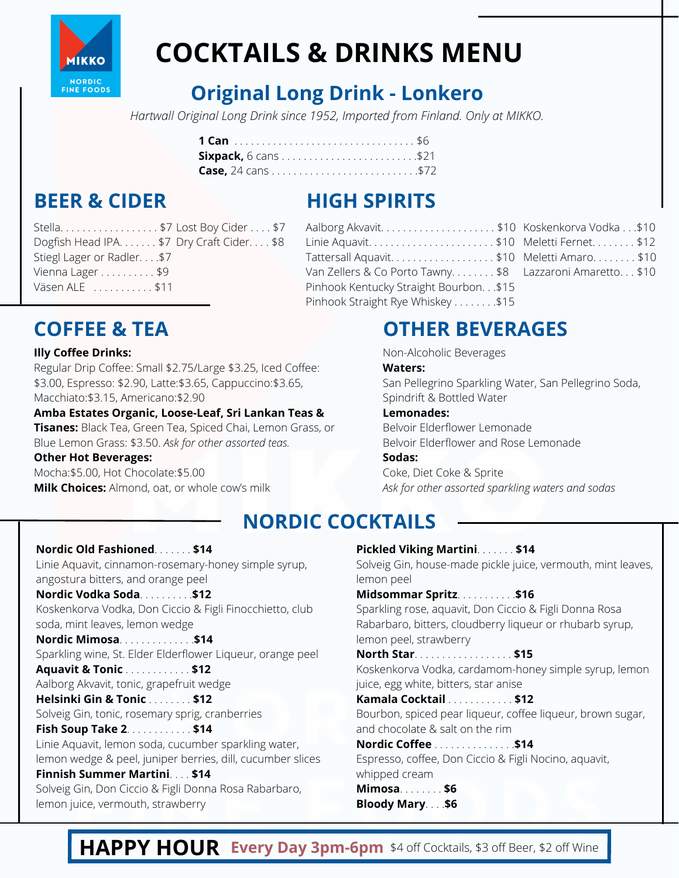

# **COCKTAILS & DRINKS MENU**

### **Original Long Drink - Lonkero**

*Hartwall Original Long Drink since 1952, Imported from Finland. Only at MIKKO.*

### **BEER & CIDER**

### **HIGH SPIRITS**

| Stella\$7 Lost Boy Cider\$7                |  |
|--------------------------------------------|--|
| Dogfish Head IPA. \$7 Dry Craft Cider. \$8 |  |
| Stiegl Lager or Radler\$7                  |  |
| Vienna Lager \$9                           |  |
| Väsen ALE $\ldots \ldots \ldots$           |  |
|                                            |  |

### Pinhook Kentucky Straight Bourbon. . .\$15 Pinhook Straight Rye Whiskey . . . . . . . . \$15

### **COFFEE & TEA OTHER BEVERAGES**

Aalborg Akvavit. . . . . . . . . . . . . . . . . . . . . \$10 Koskenkorva Vodka . . .\$10 Linie Aquavit. . . . . . . . . . . . . . . . . . . . . . . \$10 Meletti Fernet. . . . . . . . \$12 Tattersall Aquavit. . . . . . . . . . . . . . . . . . . \$10 Meletti Amaro. . . . . . . . \$10 Van Zellers & Co Porto Tawny. . . . . . . . \$8 Lazzaroni Amaretto. . . \$10

Non-Alcoholic Beverages

#### **Waters:**

San Pellegrino Sparkling Water, San Pellegrino Soda, Spindrift & Bottled Water

#### **Lemonades:**

Belvoir Elderflower Lemonade Belvoir Elderflower and Rose Lemonade

#### **Sodas:**

Coke, Diet Coke & Sprite *Ask for other assorted sparkling waters and sodas*

### **NORDIC COCKTAILS**

#### **Nordic Old Fashioned**. . . . . . . **\$14** Linie Aquavit, cinnamon-rosemary-honey simple syrup, angostura bitters, and orange peel **Nordic Vodka Soda**. . . . . . . . . .**\$12** Koskenkorva Vodka, Don Ciccio & Figli Finocchietto, club soda, mint leaves, lemon wedge **Nordic Mimosa**. . . . . . . . . . . . . .**\$14** Sparkling wine, St. Elder Elderflower Liqueur, orange peel **Aquavit & Tonic** . . . . . . . . . . . . **\$12** Aalborg Akvavit, tonic, grapefruit wedge **Helsinki Gin & Tonic** . . . . . . . . **\$12** Solveig Gin, tonic, rosemary sprig, cranberries **Fish Soup Take 2**. . . . . . . . . . . . **\$14** Linie Aquavit, lemon soda, cucumber sparkling water, lemon wedge & peel, juniper berries, dill, cucumber slices **Finnish Summer Martini**. . . . **\$14** Solveig Gin, Don Ciccio & Figli Donna Rosa Rabarbaro, lemon juice, vermouth, strawberry

#### **Pickled Viking Martini**. . . . . . . **\$14**

Solveig Gin, house-made pickle juice, vermouth, mint leaves, lemon peel

**Midsommar Spritz**. . . . . . . . . . .**\$16**

Sparkling rose, aquavit, Don Ciccio & Figli Donna Rosa Rabarbaro, bitters, cloudberry liqueur or rhubarb syrup, lemon peel, strawberry

**North Star**. . . . . . . . . . . . . . . . . . **\$15** Koskenkorva Vodka, cardamom-honey simple syrup, lemon juice, egg white, bitters, star anise

**Kamala Cocktail** . . . . . . . . . . . . **\$12** Bourbon, spiced pear liqueur, coffee liqueur, brown sugar, and chocolate & salt on the rim

### **Nordic Coffee** . . . . . . . . . . . . . . .**\$14**

Espresso, coffee, Don Ciccio & Figli Nocino, aquavit, whipped cream **Mimosa**. . . . . . . . **\$6**

**Bloody Mary**. . . .**\$6**

### **HAPPY HOUR Every Day 3pm-6pm** \$4 off Cocktails, \$3 off Beer, \$2 off Wine

| $DU = DU = DU = DU$                        |  |
|--------------------------------------------|--|
| Dogfish Head IPA. \$7 Dry Craft Cider. \$8 |  |
| Stiegl Lager or Radler\$7                  |  |
| Vienna Lager \$9                           |  |
| Väsen ALE \$11                             |  |

#### **Illy Coffee Drinks:**

Regular Drip Coffee: Small \$2.75/Large \$3.25, Iced Coffee: \$3.00, Espresso: \$2.90, Latte:\$3.65, Cappuccino:\$3.65, Macchiato:\$3.15, Americano:\$2.90

**Amba Estates Organic, Loose-Leaf, Sri Lankan Teas & Tisanes:** Black Tea, Green Tea, Spiced Chai, Lemon Grass, or Blue Lemon Grass: \$3.50. *Ask for other assorted teas.*

#### **Other Hot Beverages:**

Mocha:\$5.00, Hot Chocolate:\$5.00 **Milk Choices:** Almond, oat, or whole cow's milk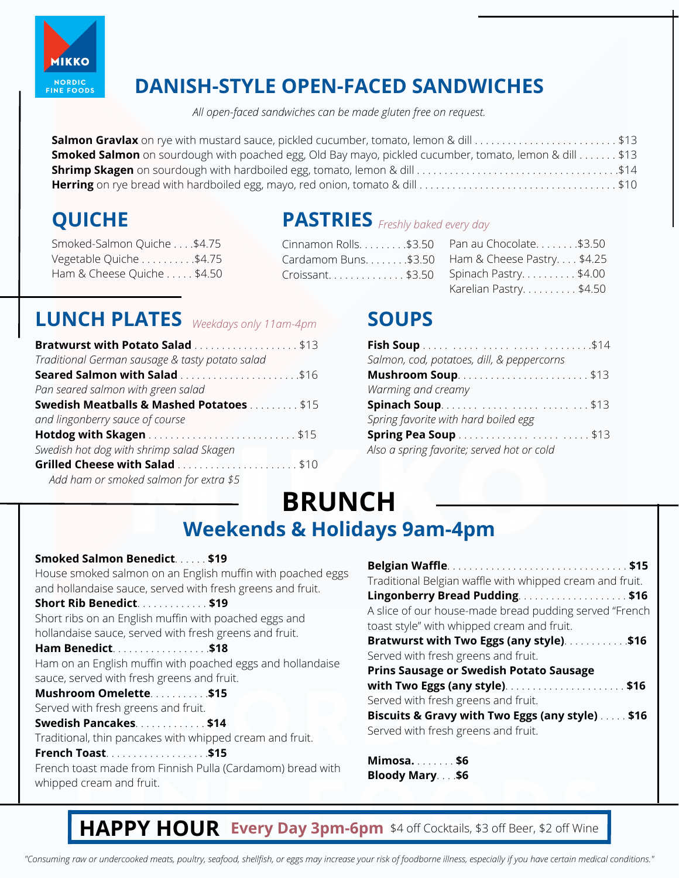

### **DANISH-STYLE OPEN-FACED SANDWICHES**

*All open-faced sandwiches can be made gluten free on request.*

| Salmon Gravlax on rye with mustard sauce, pickled cucumber, tomato, lemon & dill \$13                         |  |
|---------------------------------------------------------------------------------------------------------------|--|
| <b>Smoked Salmon</b> on sourdough with poached egg, Old Bay mayo, pickled cucumber, tomato, lemon & dill \$13 |  |
|                                                                                                               |  |
|                                                                                                               |  |

Smoked-Salmon Quiche . . . .\$4.75 Vegetable Quiche . . . . . . . . . \$4.75 Ham & Cheese Quiche . . . . . \$4.50

### **QUICHE PASTRIES** *Freshly baked every day*

| Cinnamon Rolls. \$3.50 Pan au Chocolate. \$3.50   |
|---------------------------------------------------|
| Cardamom Buns. \$3.50 Ham & Cheese Pastry. \$4.25 |
| Croissant\$3.50 Spinach Pastry\$4.00              |
| Karelian Pastry\$4.50                             |

### **LUNCH PLATES Weekdays** only 11am-4pm **SOUPS**

| Bratwurst with Potato Salad \$13                    |  |
|-----------------------------------------------------|--|
| Traditional German sausage & tasty potato salad     |  |
| <b>Seared Salmon with Salad \$16</b>                |  |
| Pan seared salmon with green salad                  |  |
| <b>Swedish Meatballs &amp; Mashed Potatoes \$15</b> |  |
| and lingonberry sauce of course                     |  |
|                                                     |  |
| Swedish hot dog with shrimp salad Skagen            |  |
| Grilled Cheese with Salad \$10                      |  |
| Add ham or smoked salmon for extra \$5              |  |

| Salmon, cod, potatoes, dill, & peppercorns |  |
|--------------------------------------------|--|
| <b>Mushroom Soup</b> \$13                  |  |
| Warming and creamy                         |  |
|                                            |  |
| Spring favorite with hard boiled egg       |  |
| Spring Pea Soup \$13                       |  |
| Also a spring favorite; served hot or cold |  |

# **BRUNCH**

### **Weekends & Holidays 9am-4pm**

#### **Smoked Salmon Benedict**. . . . . . **\$19**

House smoked salmon on an English muffin with poached eggs and hollandaise sauce, served with fresh greens and fruit.

**Short Rib Benedict**. . . . . . . . . . . . . **\$19**

Short ribs on an English muffin with poached eggs and hollandaise sauce, served with fresh greens and fruit.

#### **Ham Benedict**. . . . . . . . . . . . . . . . . .**\$18** Ham on an English muffin with poached eggs and hollandaise sauce, served with fresh greens and fruit.

**Mushroom Omelette**. . . . . . . . . . .**\$15** Served with fresh greens and fruit.

#### **Swedish Pancakes**. . . . . . . . . . . . . **\$14**

Traditional, thin pancakes with whipped cream and fruit.

**French Toast**. . . . . . . . . . . . . . . . . . .**\$15** French toast made from Finnish Pulla (Cardamom) bread with whipped cream and fruit.

| Traditional Belgian waffle with whipped cream and fruit. |
|----------------------------------------------------------|
| Lingonberry Bread Pudding. \$16                          |
| A slice of our house-made bread pudding served "French   |
| toast style" with whipped cream and fruit.               |
| Bratwurst with Two Eggs (any style)\$16                  |
| Served with fresh greens and fruit.                      |
| <b>Prins Sausage or Swedish Potato Sausage</b>           |
|                                                          |
| Served with fresh greens and fruit.                      |
| Biscuits & Gravy with Two Eggs (any style)  \$16         |
| Served with fresh greens and fruit.                      |
|                                                          |
|                                                          |

**Mimosa.** . . . . . . . **\$6 Bloody Mary**. . . .**\$6**

### **HAPPY HOUR Every Day 3pm-6pm** \$4 off Cocktails, \$3 off Beer, \$2 off Wine

*"Consuming raw or undercooked meats, poultry, seafood, shellfish, or eggs may increase your risk of foodborne illness, especially if you have certain medical conditions."*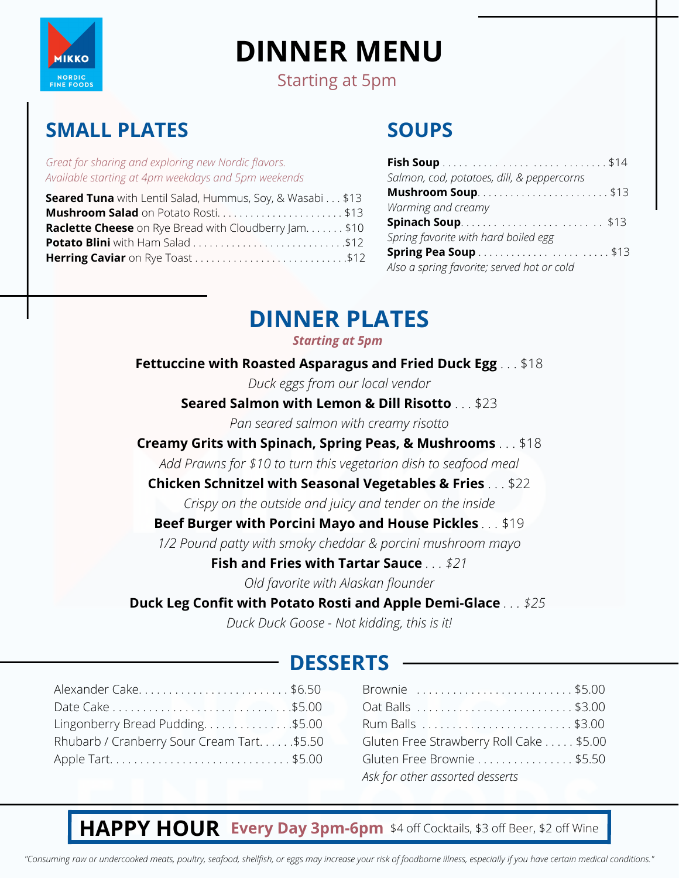

# **DINNER MENU**

Starting at 5pm

### **SMALL PLATES**

*Great for sharing and exploring new Nordic flavors. Available starting at 4pm weekdays and 5pm weekends*

| <b>Seared Tuna</b> with Lentil Salad, Hummus, Soy, & Wasabi\$13 |
|-----------------------------------------------------------------|
| Mushroom Salad on Potato Rosti\$13                              |
| <b>Raclette Cheese</b> on Rye Bread with Cloudberry Jam. \$10   |
|                                                                 |
| Herring Caviar on Rye Toast \$12                                |

### **SOUPS**

| Salmon, cod, potatoes, dill, & peppercorns |  |
|--------------------------------------------|--|
|                                            |  |
| Warming and creamy                         |  |
| <b>Spinach Soup</b> \$13                   |  |
| Spring favorite with hard boiled egg       |  |
| Spring Pea Soup \$13                       |  |
| Also a spring favorite; served hot or cold |  |

### **DINNER PLATES**

#### *Starting at 5pm*

**Fettuccine with Roasted Asparagus and Fried Duck Egg** . . . \$18

*Duck eggs from our local vendor*

**Seared Salmon with Lemon & Dill Risotto** . . . \$23

*Pan seared salmon with creamy risotto*

#### **Creamy Grits with Spinach, Spring Peas, & Mushrooms** . . . \$18

*Add Prawns for \$10 to turn this vegetarian dish to seafood meal*

#### **Chicken Schnitzel with Seasonal Vegetables & Fries** . . . \$22

*Crispy on the outside and juicy and tender on the inside*

### **Beef Burger with Porcini Mayo and House Pickles** *. . .* \$19

*1/2 Pound patty with smoky cheddar & porcini mushroom mayo*

#### **Fish and Fries with Tartar Sauce** *. . . \$21*

*Old favorite with Alaskan flounder*

### **Duck Leg Confit with Potato Rosti and Apple Demi-Glace** *. . . \$25*

*Duck Duck Goose - Not kidding, this is it!*

### **DESSERTS**

| Alexander Cake\$6.50                      |
|-------------------------------------------|
|                                           |
| Lingonberry Bread Pudding\$5.00           |
| Rhubarb / Cranberry Sour Cream Tart\$5.50 |
|                                           |
|                                           |

| Brownie \$5.00                          |  |
|-----------------------------------------|--|
| Oat Balls \$3.00                        |  |
|                                         |  |
| Gluten Free Strawberry Roll Cake \$5.00 |  |
| Gluten Free Brownie \$5.50              |  |
| Ask for other assorted desserts         |  |

### **HAPPY HOUR Every Day 3pm-6pm** \$4 off Cocktails, \$3 off Beer, \$2 off Wine

*"Consuming raw or undercooked meats, poultry, seafood, shellfish, or eggs may increase your risk of foodborne illness, especially if you have certain medical conditions."*